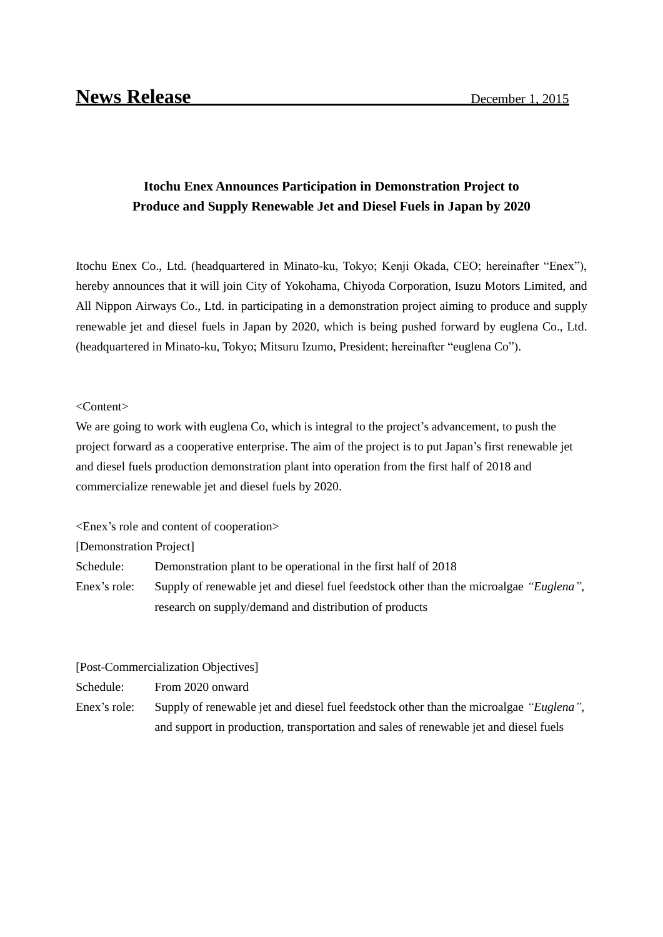## **Itochu Enex Announces Participation in Demonstration Project to Produce and Supply Renewable Jet and Diesel Fuels in Japan by 2020**

Itochu Enex Co., Ltd. (headquartered in Minato-ku, Tokyo; Kenji Okada, CEO; hereinafter "Enex"), hereby announces that it will join City of Yokohama, Chiyoda Corporation, Isuzu Motors Limited, and All Nippon Airways Co., Ltd. in participating in a demonstration project aiming to produce and supply renewable jet and diesel fuels in Japan by 2020, which is being pushed forward by euglena Co., Ltd. (headquartered in Minato-ku, Tokyo; Mitsuru Izumo, President; hereinafter "euglena Co").

## <Content>

We are going to work with euglena Co, which is integral to the project's advancement, to push the project forward as a cooperative enterprise. The aim of the project is to put Japan's first renewable jet and diesel fuels production demonstration plant into operation from the first half of 2018 and commercialize renewable jet and diesel fuels by 2020.

<Enex's role and content of cooperation>

[Demonstration Project]

Schedule: Demonstration plant to be operational in the first half of 2018

Enex's role: Supply of renewable jet and diesel fuel feedstock other than the microalgae *"Euglena"*, research on supply/demand and distribution of products

[Post-Commercialization Objectives]

Schedule: From 2020 onward

Enex's role: Supply of renewable jet and diesel fuel feedstock other than the microalgae *"Euglena"*, and support in production, transportation and sales of renewable jet and diesel fuels